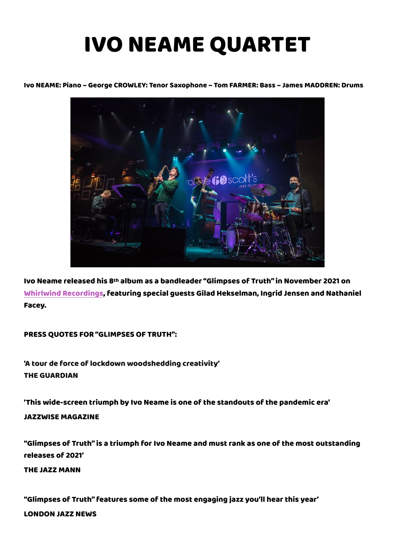## IVO NEAME QUARTET

## Ivo NEAME: Piano – George CROWLEY: Tenor Saxophone – Tom FARMER: Bass – James MADDREN: Drums



Ivo Neame released his 8th album as a bandleader "Glimpses of Truth" in November 2021 on [Whirlwind Recordings,](https://www.whirlwindrecordings.com/) featuring special guests Gilad Hekselman, Ingrid Jensen and Nathaniel Facey.

PRESS QUOTES FOR "GLIMPSES OF TRUTH":

'A tour de force of lockdown woodshedding creativity' THE GUARDIAN

'This wide-screen triumph by Ivo Neame is one of the standouts of the pandemic era'

JAZZWISE MAGAZINE

"Glimpses of Truth" is a triumph for Ivo Neame and must rank as one of the most outstanding releases of 2021'

THE JAZZ MANN

"Glimpses of Truth" features some of the most engaging jazz you'll hear this year' LONDON JAZZ NEWS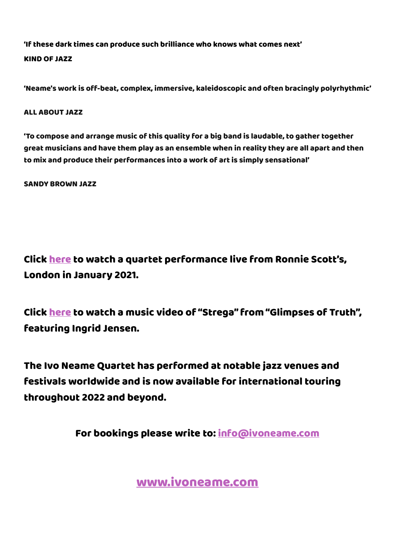'If these dark times can produce such brilliance who knows what comes next' KIND OF JAZZ

'Neame's work is off-beat, complex, immersive, kaleidoscopic and often bracingly polyrhythmic'

ALL ABOUT JAZZ

'To compose and arrange music of this quality for a big band is laudable, to gather together great musicians and have them play as an ensemble when in reality they are all apart and then to mix and produce their performances into a work of art is simply sensational'

SANDY BROWN JAZZ

Click [here](https://www.youtube.com/watch?v=ptBRKmk5iAs) to watch a quartet performance live from Ronnie Scott's, London in January 2021.

Click [here](https://www.youtube.com/watch?v=aGHPMA7htPs) to watch a music video of "Strega" from "Glimpses of Truth", featuring Ingrid Jensen.

The Ivo Neame Quartet has performed at notable jazz venues and festivals worldwide and is now available for international touring throughout 2022 and beyond.

For bookings please write to: [info@ivoneame.com](mailto:info@ivoneame.com)

[www.ivoneame.com](http://www.ivoneame.com/)